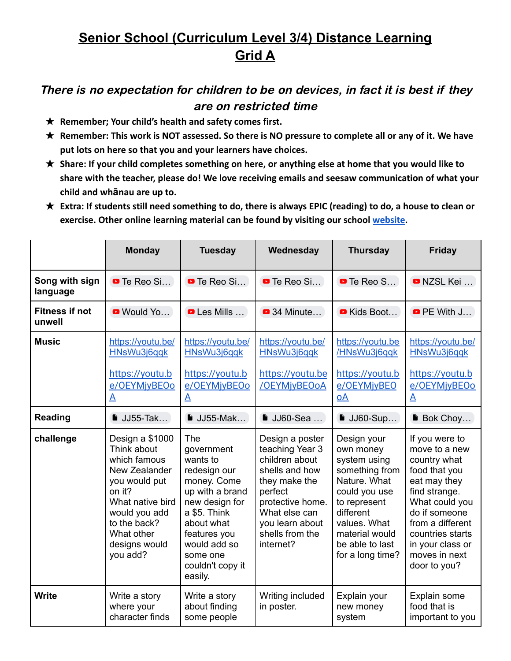## **Senior School (Curriculum Level 3/4) Distance Learning Grid A**

## There is no expectation for children to be on devices, in fact it is best if they are on restricted time

- ★ **Remember; Your child's health and safety comes first.**
- ★ **Remember: This work is NOT assessed. So there is NO pressure to complete all or any of it. We have put lots on here so that you and your learners have choices.**
- ★ **Share: If your child completes something on here, or anything else at home that you would like to share with the teacher, please do! We love receiving emails and seesaw communication of what your child and whānau are up to.**
- ★ **Extra: If students still need something to do, there is always EPIC (reading) to do, a house to clean or exercise. Other online learning material can be found by visiting our school [website.](https://www.silverdale.school.nz/49/link_sets/2-useful-links)**

|                                 | <b>Monday</b>                                                                                                                                                                              | <b>Tuesday</b>                                                                                                                                                                                             | Wednesday                                                                                                                                                                                  | <b>Thursday</b>                                                                                                                                                                                   | <b>Friday</b>                                                                                                                                                                                                                     |
|---------------------------------|--------------------------------------------------------------------------------------------------------------------------------------------------------------------------------------------|------------------------------------------------------------------------------------------------------------------------------------------------------------------------------------------------------------|--------------------------------------------------------------------------------------------------------------------------------------------------------------------------------------------|---------------------------------------------------------------------------------------------------------------------------------------------------------------------------------------------------|-----------------------------------------------------------------------------------------------------------------------------------------------------------------------------------------------------------------------------------|
| Song with sign<br>language      | <b>D</b> Te Reo Si                                                                                                                                                                         | <b>D</b> Te Reo Si                                                                                                                                                                                         | <b>D</b> Te Reo Si                                                                                                                                                                         | <b>D</b> Te Reo S                                                                                                                                                                                 | <b>D</b> NZSL Kei                                                                                                                                                                                                                 |
| <b>Fitness if not</b><br>unwell | Would Yo                                                                                                                                                                                   | <b>D</b> Les Mills                                                                                                                                                                                         | <b>34 Minute</b>                                                                                                                                                                           | Kids Boot                                                                                                                                                                                         | $\bullet$ PE With J                                                                                                                                                                                                               |
| <b>Music</b>                    | https://youtu.be/<br>HNsWu3j6qqk                                                                                                                                                           | https://youtu.be/<br>HNsWu3j6qqk                                                                                                                                                                           | https://youtu.be/<br>HNsWu3j6qqk                                                                                                                                                           | https://youtu.be<br>/HNsWu3j6qqk                                                                                                                                                                  | https://youtu.be/<br>HNsWu3j6qqk                                                                                                                                                                                                  |
|                                 | https://youtu.b<br>e/OEYMjyBEOo<br>A                                                                                                                                                       | https://youtu.b<br>e/OEYMjyBEOo<br>$\overline{\mathbf{A}}$                                                                                                                                                 | https://youtu.be<br>/OEYMjyBEOoA                                                                                                                                                           | https://youtu.b<br>e/OEYMjyBEO<br>$\overline{OA}$                                                                                                                                                 | https://youtu.b<br>e/OEYMjyBEOo<br>$\mathbf{A}$                                                                                                                                                                                   |
| <b>Reading</b>                  | $\blacksquare$ JJ55-Tak                                                                                                                                                                    | $JJ55-Mak$                                                                                                                                                                                                 | ■ JJ60-Sea                                                                                                                                                                                 | $\blacksquare$ JJ60-Sup                                                                                                                                                                           | <b>Bok Choy</b>                                                                                                                                                                                                                   |
| challenge                       | Design a \$1000<br>Think about<br>which famous<br>New Zealander<br>you would put<br>on it?<br>What native bird<br>would you add<br>to the back?<br>What other<br>designs would<br>you add? | The<br>government<br>wants to<br>redesign our<br>money. Come<br>up with a brand<br>new design for<br>a \$5. Think<br>about what<br>features you<br>would add so<br>some one<br>couldn't copy it<br>easily. | Design a poster<br>teaching Year 3<br>children about<br>shells and how<br>they make the<br>perfect<br>protective home.<br>What else can<br>you learn about<br>shells from the<br>internet? | Design your<br>own money<br>system using<br>something from<br>Nature. What<br>could you use<br>to represent<br>different<br>values. What<br>material would<br>be able to last<br>for a long time? | If you were to<br>move to a new<br>country what<br>food that you<br>eat may they<br>find strange.<br>What could you<br>do if someone<br>from a different<br>countries starts<br>in your class or<br>moves in next<br>door to you? |
| <b>Write</b>                    | Write a story<br>where your<br>character finds                                                                                                                                             | Write a story<br>about finding<br>some people                                                                                                                                                              | Writing included<br>in poster.                                                                                                                                                             | Explain your<br>new money<br>system                                                                                                                                                               | Explain some<br>food that is<br>important to you                                                                                                                                                                                  |